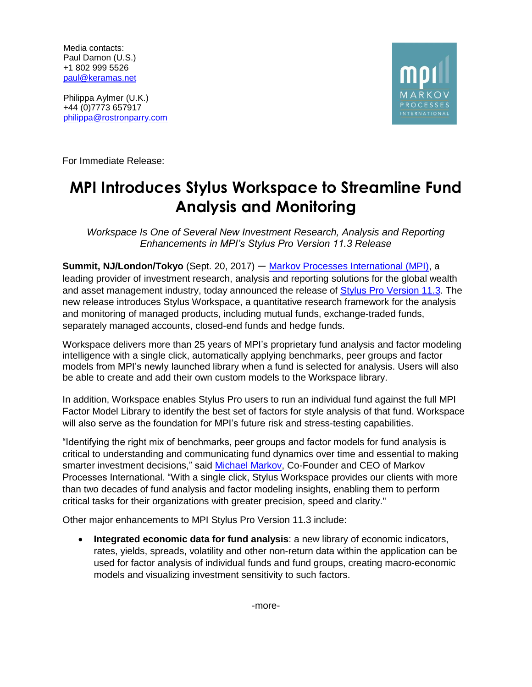Media contacts: Paul Damon (U.S.) +1 802 999 5526 [paul@keramas.net](mailto:paul@keramas.net)

Philippa Aylmer (U.K.) +44 (0)7773 657917 [philippa@rostronparry.com](mailto:philippa@rostronparry.com)



For Immediate Release:

## **MPI Introduces Stylus Workspace to Streamline Fund Analysis and Monitoring**

*Workspace Is One of Several New Investment Research, Analysis and Reporting Enhancements in MPI's Stylus Pro Version 11.3 Release*

**Summit, NJ/London/Tokyo** (Sept. 20, 2017) ― [Markov Processes International \(MPI\),](http://www.markovprocesses.com/company/index.htm) a leading provider of investment research, analysis and reporting solutions for the global wealth and asset management industry, today announced the release of [Stylus Pro Version 11.3.](http://www.markovprocesses.com/products/stylusprov11.htm) The new release introduces Stylus Workspace, a quantitative research framework for the analysis and monitoring of managed products, including mutual funds, exchange-traded funds, separately managed accounts, closed-end funds and hedge funds.

Workspace delivers more than 25 years of MPI's proprietary fund analysis and factor modeling intelligence with a single click, automatically applying benchmarks, peer groups and factor models from MPI's newly launched library when a fund is selected for analysis. Users will also be able to create and add their own custom models to the Workspace library.

In addition, Workspace enables Stylus Pro users to run an individual fund against the full MPI Factor Model Library to identify the best set of factors for style analysis of that fund. Workspace will also serve as the foundation for MPI's future risk and stress-testing capabilities.

"Identifying the right mix of benchmarks, peer groups and factor models for fund analysis is critical to understanding and communicating fund dynamics over time and essential to making smarter investment decisions," said [Michael Markov,](http://www.markovprocesses.com/company/team.htm) Co-Founder and CEO of Markov Processes International. "With a single click, Stylus Workspace provides our clients with more than two decades of fund analysis and factor modeling insights, enabling them to perform critical tasks for their organizations with greater precision, speed and clarity."

Other major enhancements to MPI Stylus Pro Version 11.3 include:

• **Integrated economic data for fund analysis**: a new library of economic indicators, rates, yields, spreads, volatility and other non-return data within the application can be used for factor analysis of individual funds and fund groups, creating macro-economic models and visualizing investment sensitivity to such factors.